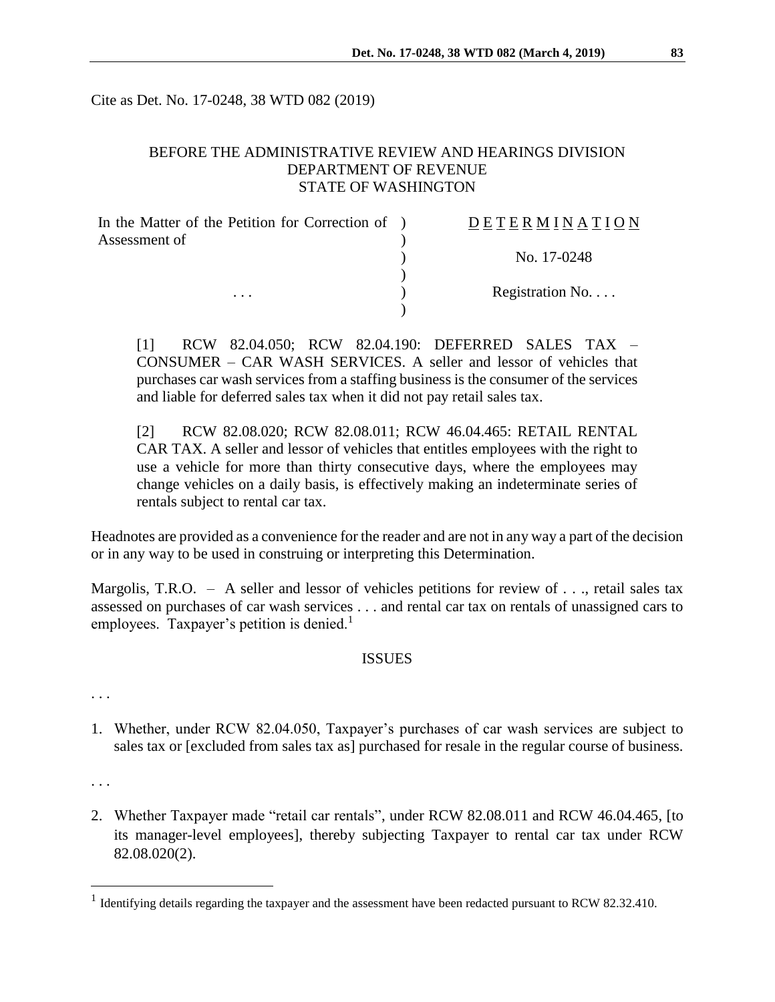Cite as Det. No. 17-0248, 38 WTD 082 (2019)

# BEFORE THE ADMINISTRATIVE REVIEW AND HEARINGS DIVISION DEPARTMENT OF REVENUE STATE OF WASHINGTON

| In the Matter of the Petition for Correction of ) | DETERMINATION   |
|---------------------------------------------------|-----------------|
| Assessment of                                     |                 |
|                                                   | No. 17-0248     |
|                                                   |                 |
| $\cdots$                                          | Registration No |
|                                                   |                 |

[1] RCW 82.04.050; RCW 82.04.190: DEFERRED SALES TAX – CONSUMER – CAR WASH SERVICES. A seller and lessor of vehicles that purchases car wash services from a staffing business is the consumer of the services and liable for deferred sales tax when it did not pay retail sales tax.

[2] RCW 82.08.020; RCW 82.08.011; RCW 46.04.465: RETAIL RENTAL CAR TAX. A seller and lessor of vehicles that entitles employees with the right to use a vehicle for more than thirty consecutive days, where the employees may change vehicles on a daily basis, is effectively making an indeterminate series of rentals subject to rental car tax.

Headnotes are provided as a convenience for the reader and are not in any way a part of the decision or in any way to be used in construing or interpreting this Determination.

Margolis, T.R.O. - A seller and lessor of vehicles petitions for review of . . ., retail sales tax assessed on purchases of car wash services . . . and rental car tax on rentals of unassigned cars to employees. Taxpayer's petition is denied. $<sup>1</sup>$ </sup>

#### **ISSUES**

. . .

1. Whether, under RCW 82.04.050, Taxpayer's purchases of car wash services are subject to sales tax or [excluded from sales tax as] purchased for resale in the regular course of business.

. . .

 $\overline{a}$ 

2. Whether Taxpayer made "retail car rentals", under RCW 82.08.011 and RCW 46.04.465, [to its manager-level employees], thereby subjecting Taxpayer to rental car tax under RCW 82.08.020(2).

<sup>&</sup>lt;sup>1</sup> Identifying details regarding the taxpayer and the assessment have been redacted pursuant to RCW 82.32.410.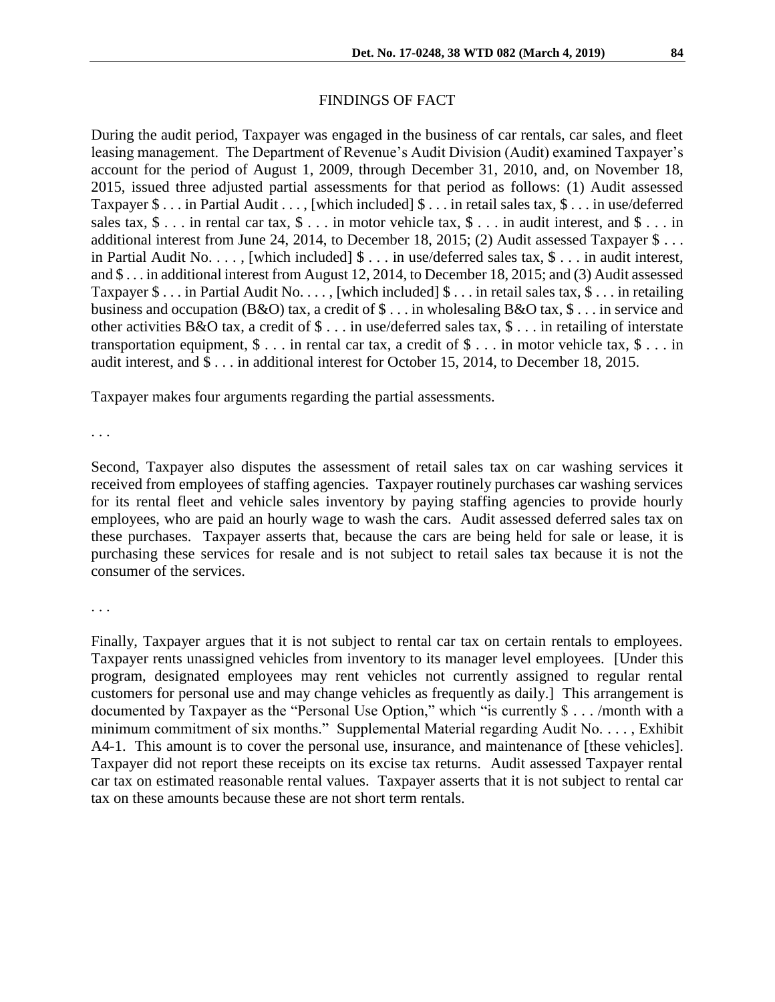# FINDINGS OF FACT

During the audit period, Taxpayer was engaged in the business of car rentals, car sales, and fleet leasing management. The Department of Revenue's Audit Division (Audit) examined Taxpayer's account for the period of August 1, 2009, through December 31, 2010, and, on November 18, 2015, issued three adjusted partial assessments for that period as follows: (1) Audit assessed Taxpayer \$ . . . in Partial Audit . . . , [which included] \$ . . . in retail sales tax, \$ . . . in use/deferred sales tax,  $\$ \dots$  in rental car tax,  $\$ \dots$  in motor vehicle tax,  $\$ \dots$  in audit interest, and  $\$ \dots$  in additional interest from June 24, 2014, to December 18, 2015; (2) Audit assessed Taxpayer \$ . . . in Partial Audit No. . . . , [which included] \$ . . . in use/deferred sales tax, \$ . . . in audit interest, and \$ . . . in additional interest from August 12, 2014, to December 18, 2015; and (3) Audit assessed Taxpayer \$ . . . in Partial Audit No. . . . , [which included] \$ . . . in retail sales tax, \$ . . . in retailing business and occupation (B&O) tax, a credit of \$ . . . in wholesaling B&O tax, \$ . . . in service and other activities B&O tax, a credit of \$ . . . in use/deferred sales tax, \$ . . . in retailing of interstate transportation equipment,  $\$\dots$  in rental car tax, a credit of  $\$\dots$  in motor vehicle tax,  $\$\dots$  in audit interest, and \$ . . . in additional interest for October 15, 2014, to December 18, 2015.

Taxpayer makes four arguments regarding the partial assessments.

. . .

Second, Taxpayer also disputes the assessment of retail sales tax on car washing services it received from employees of staffing agencies. Taxpayer routinely purchases car washing services for its rental fleet and vehicle sales inventory by paying staffing agencies to provide hourly employees, who are paid an hourly wage to wash the cars. Audit assessed deferred sales tax on these purchases. Taxpayer asserts that, because the cars are being held for sale or lease, it is purchasing these services for resale and is not subject to retail sales tax because it is not the consumer of the services.

. . .

Finally, Taxpayer argues that it is not subject to rental car tax on certain rentals to employees. Taxpayer rents unassigned vehicles from inventory to its manager level employees. [Under this program, designated employees may rent vehicles not currently assigned to regular rental customers for personal use and may change vehicles as frequently as daily.] This arrangement is documented by Taxpayer as the "Personal Use Option," which "is currently \$ . . . /month with a minimum commitment of six months." Supplemental Material regarding Audit No. . . . , Exhibit A4-1. This amount is to cover the personal use, insurance, and maintenance of [these vehicles]. Taxpayer did not report these receipts on its excise tax returns. Audit assessed Taxpayer rental car tax on estimated reasonable rental values. Taxpayer asserts that it is not subject to rental car tax on these amounts because these are not short term rentals.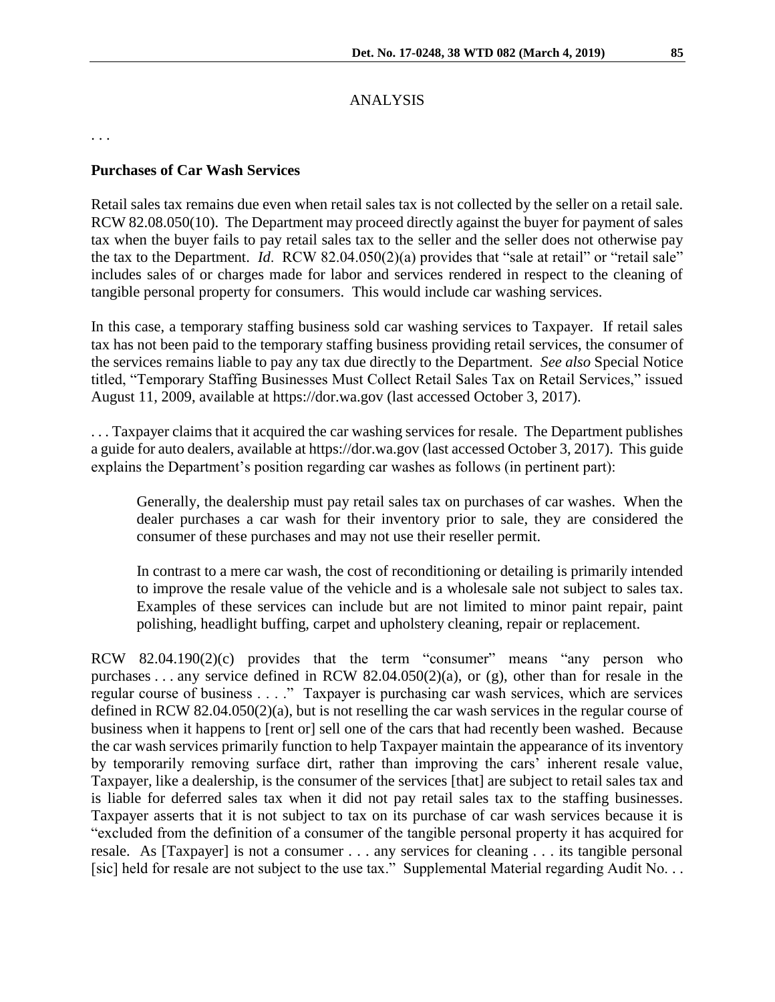# ANALYSIS

. . .

### **Purchases of Car Wash Services**

Retail sales tax remains due even when retail sales tax is not collected by the seller on a retail sale. RCW 82.08.050(10). The Department may proceed directly against the buyer for payment of sales tax when the buyer fails to pay retail sales tax to the seller and the seller does not otherwise pay the tax to the Department. *Id*. RCW 82.04.050(2)(a) provides that "sale at retail" or "retail sale" includes sales of or charges made for labor and services rendered in respect to the cleaning of tangible personal property for consumers. This would include car washing services.

In this case, a temporary staffing business sold car washing services to Taxpayer. If retail sales tax has not been paid to the temporary staffing business providing retail services, the consumer of the services remains liable to pay any tax due directly to the Department. *See also* Special Notice titled, "Temporary Staffing Businesses Must Collect Retail Sales Tax on Retail Services," issued August 11, 2009, available at https://dor.wa.gov (last accessed October 3, 2017).

. . . Taxpayer claims that it acquired the car washing services for resale. The Department publishes a guide for auto dealers, available at https://dor.wa.gov (last accessed October 3, 2017). This guide explains the Department's position regarding car washes as follows (in pertinent part):

Generally, the dealership must pay retail sales tax on purchases of car washes. When the dealer purchases a car wash for their inventory prior to sale, they are considered the consumer of these purchases and may not use their reseller permit.

In contrast to a mere car wash, the cost of reconditioning or detailing is primarily intended to improve the resale value of the vehicle and is a wholesale sale not subject to sales tax. Examples of these services can include but are not limited to minor paint repair, paint polishing, headlight buffing, carpet and upholstery cleaning, repair or replacement.

RCW 82.04.190(2)(c) provides that the term "consumer" means "any person who purchases . . . any service defined in RCW 82.04.050(2)(a), or (g), other than for resale in the regular course of business . . . ." Taxpayer is purchasing car wash services, which are services defined in RCW 82.04.050(2)(a), but is not reselling the car wash services in the regular course of business when it happens to [rent or] sell one of the cars that had recently been washed. Because the car wash services primarily function to help Taxpayer maintain the appearance of its inventory by temporarily removing surface dirt, rather than improving the cars' inherent resale value, Taxpayer, like a dealership, is the consumer of the services [that] are subject to retail sales tax and is liable for deferred sales tax when it did not pay retail sales tax to the staffing businesses. Taxpayer asserts that it is not subject to tax on its purchase of car wash services because it is "excluded from the definition of a consumer of the tangible personal property it has acquired for resale. As [Taxpayer] is not a consumer . . . any services for cleaning . . . its tangible personal [sic] held for resale are not subject to the use tax." Supplemental Material regarding Audit No. . .